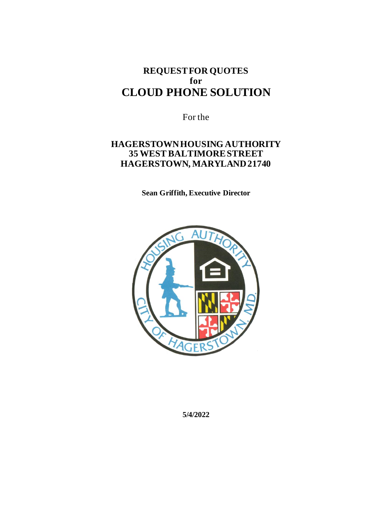# **REQUEST FOR QUOTES for CLOUD PHONE SOLUTION**

For the

## **HAGERSTOWN HOUSING AUTHORITY 35 WEST BALTIMORE STREET HAGERSTOWN, MARYLAND 21740**

**Sean Griffith, Executive Director**



**5/4/2022**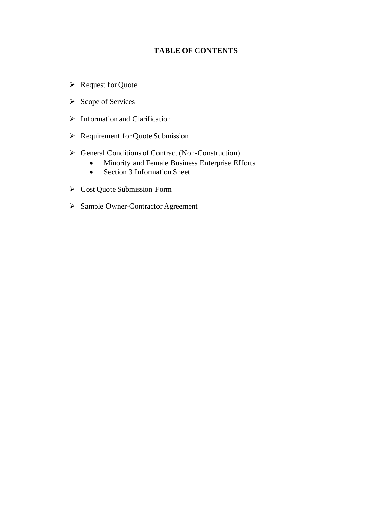### **TABLE OF CONTENTS**

- ➢ Request for Quote
- ➢ Scope of Services
- ➢ Information and Clarification
- ➢ Requirement for Quote Submission
- ➢ General Conditions of Contract (Non-Construction)
	- Minority and Female Business Enterprise Efforts
	- Section 3 Information Sheet
- ➢ Cost Quote Submission Form
- ➢ Sample Owner-Contractor Agreement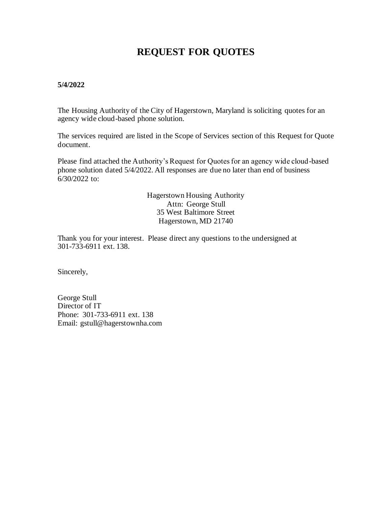# **REQUEST FOR QUOTES**

#### **5/4/2022**

The Housing Authority of the City of Hagerstown, Maryland is soliciting quotes for an agency wide cloud-based phone solution.

The services required are listed in the Scope of Services section of this Request for Quote document.

Please find attached the Authority's Request for Quotes for an agency wide cloud-based phone solution dated 5/4/2022. All responses are due no later than end of business 6/30/2022 to:

> Hagerstown Housing Authority Attn: George Stull 35 West Baltimore Street Hagerstown, MD 21740

Thank you for your interest. Please direct any questions to the undersigned at 301-733-6911 ext. 138.

Sincerely,

George Stull Director of IT Phone: 301-733-6911 ext. 138 Email: gstull@hagerstownha.com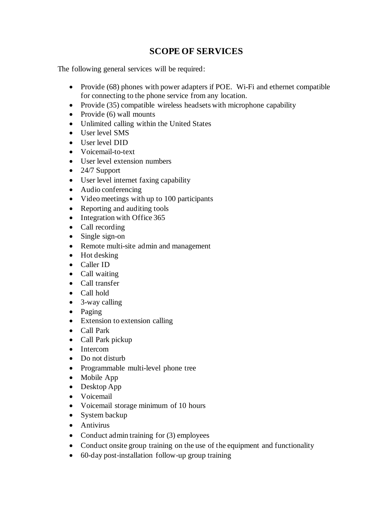## **SCOPE OF SERVICES**

The following general services will be required:

- Provide (68) phones with power adapters if POE. Wi-Fi and ethernet compatible for connecting to the phone service from any location.
- Provide (35) compatible wireless headsets with microphone capability
- Provide (6) wall mounts
- Unlimited calling within the United States
- User level SMS
- User level DID
- Voicemail-to-text
- User level extension numbers
- 24/7 Support
- User level internet faxing capability
- Audio conferencing
- Video meetings with up to 100 participants
- Reporting and auditing tools
- Integration with Office 365
- Call recording
- Single sign-on
- Remote multi-site admin and management
- Hot desking
- Caller ID
- Call waiting
- Call transfer
- Call hold
- 3-way calling
- Paging
- Extension to extension calling
- Call Park
- Call Park pickup
- Intercom
- Do not disturb
- Programmable multi-level phone tree
- Mobile App
- Desktop App
- Voicemail
- Voicemail storage minimum of 10 hours
- System backup
- Antivirus
- Conduct admin training for (3) employees
- Conduct onsite group training on the use of the equipment and functionality
- 60-day post-installation follow-up group training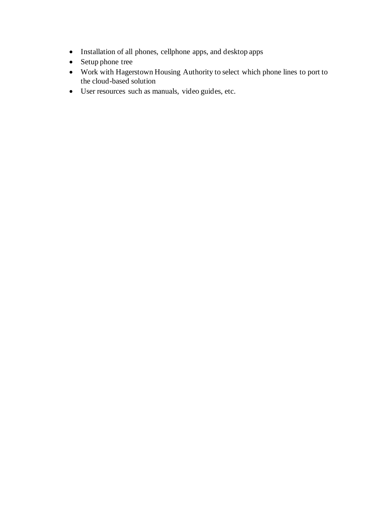- Installation of all phones, cellphone apps, and desktop apps
- Setup phone tree
- Work with Hagerstown Housing Authority to select which phone lines to port to the cloud-based solution
- User resources such as manuals, video guides, etc.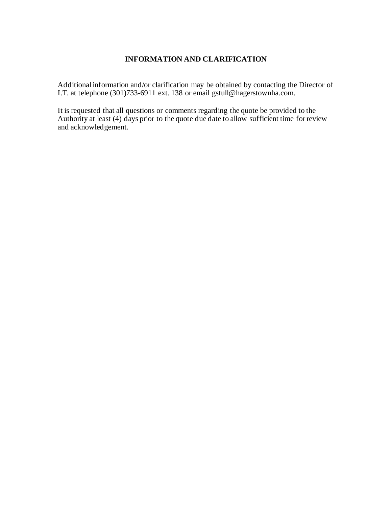### **INFORMATION AND CLARIFICATION**

Additional information and/or clarification may be obtained by contacting the Director of I.T. at telephone (301)733-6911 ext. 138 or email gstull@hagerstownha.com.

It is requested that all questions or comments regarding the quote be provided to the Authority at least (4) days prior to the quote due date to allow sufficient time for review and acknowledgement.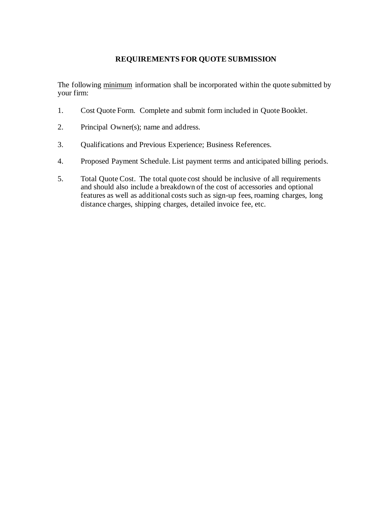### **REQUIREMENTS FOR QUOTE SUBMISSION**

The following minimum information shall be incorporated within the quote submitted by your firm:

- 1. Cost Quote Form. Complete and submit form included in Quote Booklet.
- 2. Principal Owner(s); name and address.
- 3. Qualifications and Previous Experience; Business References.
- 4. Proposed Payment Schedule. List payment terms and anticipated billing periods.
- 5. Total Quote Cost. The total quote cost should be inclusive of all requirements and should also include a breakdown of the cost of accessories and optional features as well as additional costs such as sign-up fees, roaming charges, long distance charges, shipping charges, detailed invoice fee, etc.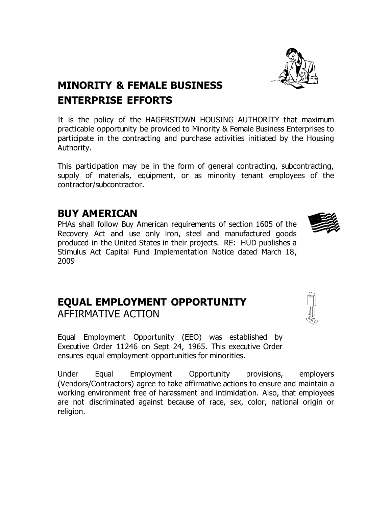

# **MINORITY & FEMALE BUSINESS** **ENTERPRISE EFFORTS**

It is the policy of the HAGERSTOWN HOUSING AUTHORITY that maximum practicable opportunity be provided to Minority & Female Business Enterprises to participate in the contracting and purchase activities initiated by the Housing Authority.

This participation may be in the form of general contracting, subcontracting, supply of materials, equipment, or as minority tenant employees of the contractor/subcontractor.

# **BUY AMERICAN**

PHAs shall follow Buy American requirements of section 1605 of the Recovery Act and use only iron, steel and manufactured goods produced in the United States in their projects. RE: HUD publishes a Stimulus Act Capital Fund Implementation Notice dated March 18, 2009

# **EQUAL EMPLOYMENT OPPORTUNITY** AFFIRMATIVE ACTION

Equal Employment Opportunity (EEO) was established by Executive Order 11246 on Sept 24, 1965. This executive Order ensures equal employment opportunities for minorities.

Under Equal Employment Opportunity provisions, employers (Vendors/Contractors) agree to take affirmative actions to ensure and maintain a working environment free of harassment and intimidation. Also, that employees are not discriminated against because of race, sex, color, national origin or religion.

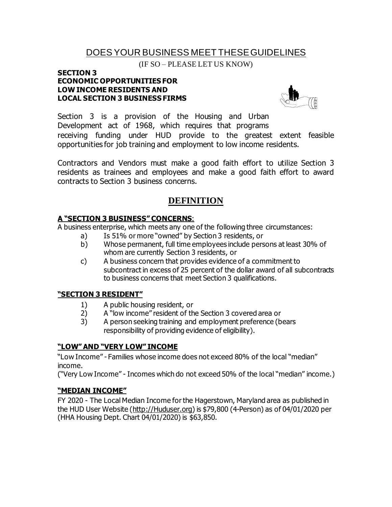## DOES YOUR BUSINESS MEET THESE GUIDELINES

(IF SO – PLEASE LET US KNOW)

#### **SECTION 3 ECONOMIC OPPORTUNITIES FOR LOW INCOME RESIDENTS AND LOCAL SECTION 3 BUSINESS FIRMS**



Section 3 is a provision of the Housing and Urban Development act of 1968, which requires that programs receiving funding under HUD provide to the greatest extent feasible opportunities for job training and employment to low income residents.

Contractors and Vendors must make a good faith effort to utilize Section 3 residents as trainees and employees and make a good faith effort to award contracts to Section 3 business concerns.

### **DEFINITION**

### **A "SECTION 3 BUSINESS" CONCERNS**:

A business enterprise, which meets any one of the following three circumstances:

- a) Is 51% or more "owned" by Section 3 residents, or
- b) Whose permanent, full time employees include persons at least 30% of whom are currently Section 3 residents, or
- c) A business concern that provides evidence of a commitment to subcontract in excess of 25 percent of the dollar award of all subcontracts to business concerns that meet Section 3 qualifications.

### **"SECTION 3 RESIDENT"**

- 1) A public housing resident, or
- 2) A "low income" resident of the Section 3 covered area or
- 3) A person seeking training and employment preference (bears responsibility of providing evidence of eligibility).

### **"LOW" AND "VERY LOW" INCOME**

"Low Income" - Families whose income does not exceed 80% of the local "median" income.

("Very Low Income" - Incomes which do not exceed 50% of the local "median" income.)

### **"MEDIAN INCOME"**

FY 2020 - The Local Median Income for the Hagerstown, Maryland area as published in the HUD User Website (http://Huduser.org) is \$79,800 (4-Person) as of 04/01/2020 per (HHA Housing Dept. Chart 04/01/2020) is \$63,850.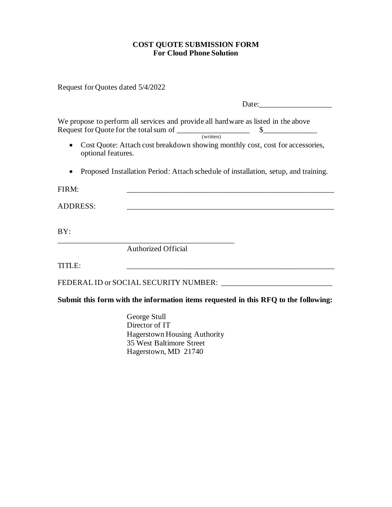### **COST QUOTE SUBMISSION FORM For Cloud Phone Solution**

Request for Quotes dated 5/4/2022

|                    | Date:                                                                                                                                                                                                                                                                                                                    |
|--------------------|--------------------------------------------------------------------------------------------------------------------------------------------------------------------------------------------------------------------------------------------------------------------------------------------------------------------------|
| optional features. | We propose to perform all services and provide all hardware as listed in the above<br>Request for Quote for the total sum of<br>\$.<br>(written)<br>Cost Quote: Attach cost breakdown showing monthly cost, cost for accessories,<br>Proposed Installation Period: Attach schedule of installation, setup, and training. |
| FIRM:              |                                                                                                                                                                                                                                                                                                                          |
| ADDRESS:           |                                                                                                                                                                                                                                                                                                                          |
| BY:                |                                                                                                                                                                                                                                                                                                                          |
|                    | <b>Authorized Official</b>                                                                                                                                                                                                                                                                                               |
|                    |                                                                                                                                                                                                                                                                                                                          |

FEDERAL ID or SOCIAL SECURITY NUMBER: \_\_\_\_\_\_\_\_\_\_\_\_\_\_\_\_\_\_\_\_\_\_\_\_\_\_\_\_\_

**Submit this form with the information items requested in this RFQ to the following:**

George Stull Director of IT Hagerstown Housing Authority 35 West Baltimore Street Hagerstown, MD 21740